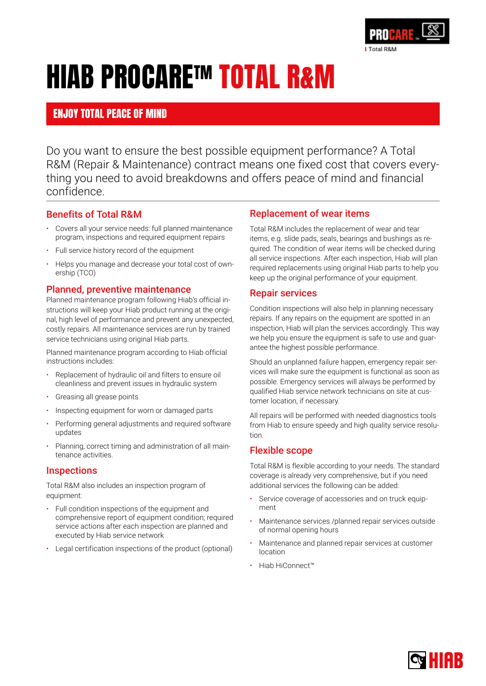

# HIAB PROCARETM TOTAL R&M

### ENJOY TOTAL PEACE OF MIND

Do you want to ensure the best possible equipment performance? A Total R&M (Repair & Maintenance) contract means one fixed cost that covers everything you need to avoid breakdowns and offers peace of mind and financial confidence.

#### Benefits of Total R&M

- Covers all your service needs: full planned maintenance program, inspections and required equipment repairs
- Full service history record of the equipment
- Helps you manage and decrease your total cost of ownership (TCO)

#### Planned, preventive maintenance

Planned maintenance program following Hiab's official instructions will keep your Hiab product running at the original, high level of performance and prevent any unexpected, costly repairs. All maintenance services are run by trained service technicians using original Hiab parts.

Planned maintenance program according to Hiab official instructions includes:

- Replacement of hydraulic oil and filters to ensure oil cleanliness and prevent issues in hydraulic system
- Greasing all grease points
- Inspecting equipment for worn or damaged parts
- Performing general adjustments and required software updates
- Planning, correct timing and administration of all maintenance activities.

#### **Inspections**

Total R&M also includes an inspection program of equipment:

- Full condition inspections of the equipment and comprehensive report of equipment condition; required service actions after each inspection are planned and executed by Hiab service network
- Legal certification inspections of the product (optional)

#### Replacement of wear items

Total R&M includes the replacement of wear and tear items, e.g. slide pads, seals, bearings and bushings as required. The condition of wear items will be checked during all service inspections. After each inspection, Hiab will plan required replacements using original Hiab parts to help you keep up the original performance of your equipment.

#### Repair services

Condition inspections will also help in planning necessary repairs. If any repairs on the equipment are spotted in an inspection, Hiab will plan the services accordingly. This way we help you ensure the equipment is safe to use and guarantee the highest possible performance.

Should an unplanned failure happen, emergency repair services will make sure the equipment is functional as soon as possible. Emergency services will always be performed by qualified Hiab service network technicians on site at customer location, if necessary.

All repairs will be performed with needed diagnostics tools from Hiab to ensure speedy and high quality service resolution.

#### Flexible scope

Total R&M is flexible according to your needs. The standard coverage is already very comprehensive, but if you need additional services the following can be added:

- Service coverage of accessories and on truck equipment
- Maintenance services /planned repair services outside of normal opening hours
- Maintenance and planned repair services at customer location
- Hiab HiConnect™